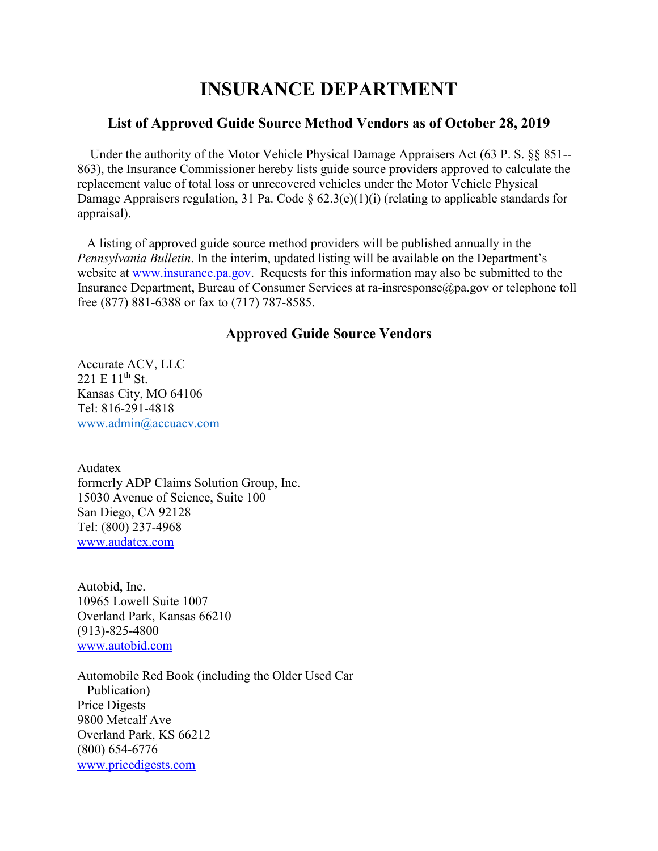## **INSURANCE DEPARTMENT**

## **List of Approved Guide Source Method Vendors as of October 28, 2019**

 Under the authority of the Motor Vehicle Physical Damage Appraisers Act (63 P. S. §§ 851-- 863), the Insurance Commissioner hereby lists guide source providers approved to calculate the replacement value of total loss or unrecovered vehicles under the Motor Vehicle Physical Damage Appraisers regulation, 31 Pa. Code §  $62.3(e)(1)(i)$  (relating to applicable standards for appraisal).

 A listing of approved guide source method providers will be published annually in the *Pennsylvania Bulletin*. In the interim, updated listing will be available on the Department's website at [www.insurance.pa.gov.](http://www.insurance.pa.gov/) Requests for this information may also be submitted to the Insurance Department, Bureau of Consumer Services at ra-insresponse@pa.gov or telephone toll free (877) 881-6388 or fax to (717) 787-8585.

## **Approved Guide Source Vendors**

Accurate ACV, LLC  $221 E 11^{th}$  St. Kansas City, MO 64106 Tel: 816-291-4818 [www.admin@accuacv.com](http://www.admin@accuacv.com)

Audatex formerly ADP Claims Solution Group, Inc. 15030 Avenue of Science, Suite 100 San Diego, CA 92128 Tel: (800) 237-4968 [www.audatex.com](http://www.audatex.com/)

Autobid, Inc. 10965 Lowell Suite 1007 Overland Park, Kansas 66210 (913)-825-4800 [www.autobid.com](http://www.autobid.com/)

Automobile Red Book (including the Older Used Car Publication) Price Digests 9800 Metcalf Ave Overland Park, KS 66212 (800) 654-6776 [www.pricedigests.com](http://www.pricedigests.com/)